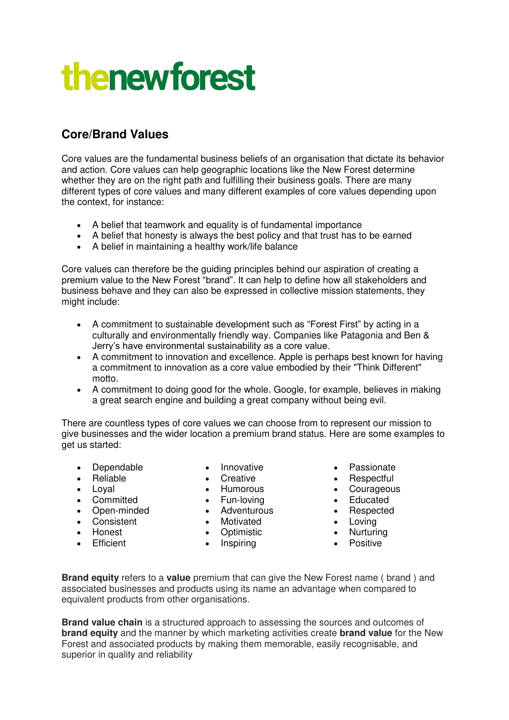## **thenewforest**

## **Core/Brand Values**

Core values are the fundamental business beliefs of an organisation that dictate its behavior and action. Core values can help geographic locations like the New Forest determine whether they are on the right path and fulfilling their business goals. There are many different types of core values and many different examples of core values depending upon the context, for instance:

- A belief that teamwork and equality is of fundamental importance
- A belief that honesty is always the best policy and that trust has to be earned
- A belief in maintaining a healthy work/life balance

Core values can therefore be the guiding principles behind our aspiration of creating a premium value to the New Forest "brand". It can help to define how all stakeholders and business behave and they can also be expressed in collective mission statements, they might include:

- A commitment to sustainable development such as "Forest First" by acting in a culturally and environmentally friendly way. Companies like Patagonia and Ben & Jerry's have environmental sustainability as a core value.
- A commitment to innovation and excellence. Apple is perhaps best known for having a commitment to innovation as a core value embodied by their "Think Different" motto.
- A commitment to doing good for the whole. Google, for example, believes in making a great search engine and building a great company without being evil.

There are countless types of core values we can choose from to represent our mission to give businesses and the wider location a premium brand status. Here are some examples to get us started:

- Dependable
- Reliable
- Loval
- Committed
- Open-minded
- Consistent
- Honest
- **•** Efficient
- Innovative
- Creative
	- Humorous
	- Fun-loving
	- Adventurous
	- Motivated
	- Optimistic
	- Inspiring
- Passionate
- Respectful
- Courageous
- Educated
- Respected
- Loving
- Nurturing • Nurturing<br>• Positive
	-

**Brand equity** refers to a **value** premium that can give the New Forest name ( brand ) and associated businesses and products using its name an advantage when compared to equivalent products from other organisations.

**Brand value chain** is a structured approach to assessing the sources and outcomes of **brand equity** and the manner by which marketing activities create **brand value** for the New Forest and associated products by making them memorable, easily recognisable, and superior in quality and reliability